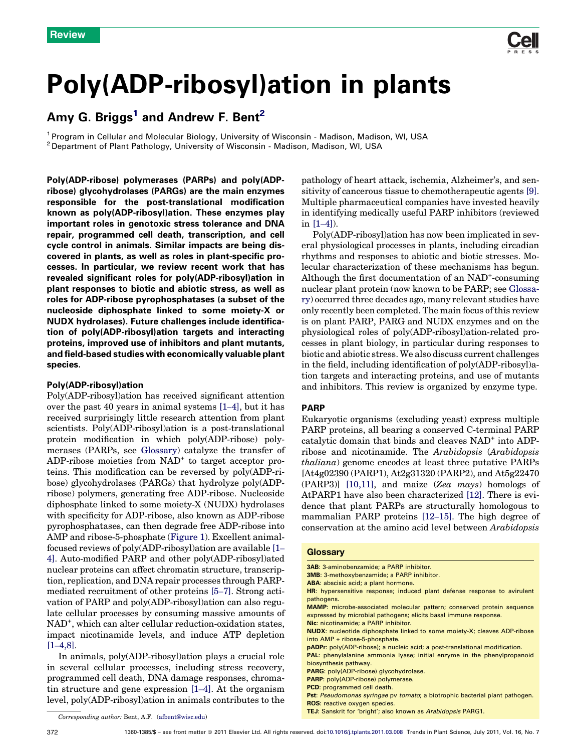

# Poly(ADP-ribosyl)ation in plants

## Amy G. Briggs<sup>1</sup> and Andrew F. Bent<sup>2</sup>

<sup>1</sup> Program in Cellular and Molecular Biology, University of Wisconsin - Madison, Madison, WI, USA<br><sup>2</sup> Department of Plant Pathology, University of Wisconsin - Madison, Madison, WI, USA

Poly(ADP-ribose) polymerases (PARPs) and poly(ADPribose) glycohydrolases (PARGs) are the main enzymes responsible for the post-translational modification known as poly(ADP-ribosyl)ation. These enzymes play important roles in genotoxic stress tolerance and DNA repair, programmed cell death, transcription, and cell cycle control in animals. Similar impacts are being discovered in plants, as well as roles in plant-specific processes. In particular, we review recent work that has revealed significant roles for poly(ADP-ribosyl)ation in plant responses to biotic and abiotic stress, as well as roles for ADP-ribose pyrophosphatases (a subset of the nucleoside diphosphate linked to some moiety-X or NUDX hydrolases). Future challenges include identification of poly(ADP-ribosyl)ation targets and interacting proteins, improved use of inhibitors and plant mutants, and field-based studies with economically valuable plant species.

## Poly(ADP-ribosyl)ation

Poly(ADP-ribosyl)ation has received significant attention over the past 40 years in animal systems [1–[4\]](#page-7-0), but it has received surprisingly little research attention from plant scientists. Poly(ADP-ribosyl)ation is a post-translational protein modification in which poly(ADP-ribose) polymerases (PARPs, see Glossary) catalyze the transfer of ADP-ribose moieties from  $NAD^+$  to target acceptor proteins. This modification can be reversed by poly(ADP-ribose) glycohydrolases (PARGs) that hydrolyze poly(ADPribose) polymers, generating free ADP-ribose. Nucleoside diphosphate linked to some moiety-X (NUDX) hydrolases with specificity for ADP-ribose, also known as ADP-ribose pyrophosphatases, can then degrade free ADP-ribose into AMP and ribose-5-phosphate [\(Figure](#page-1-0) 1). Excellent animalfocused reviews of poly(ADP-ribosyl)ation are available [\[1](#page-7-0)– [4\].](#page-7-0) Auto-modified PARP and other poly(ADP-ribosyl)ated nuclear proteins can affect chromatin structure, transcription, replication, and DNA repair processes through PARPmediated recruitment of other proteins [\[5](#page-7-0)–7]. Strong activation of PARP and poly(ADP-ribosyl)ation can also regulate cellular processes by consuming massive amounts of NAD<sup>+</sup> , which can alter cellular reduction-oxidation states, impact nicotinamide levels, and induce ATP depletion  $[1-4,8]$ .

In animals, poly(ADP-ribosyl)ation plays a crucial role in several cellular processes, including stress recovery, programmed cell death, DNA damage responses, chromatin structure and gene expression [1–[4\].](#page-7-0) At the organism level, poly(ADP-ribosyl)ation in animals contributes to the pathology of heart attack, ischemia, Alzheimer's, and sensitivity of cancerous tissue to chemotherapeutic agents [\[9\]](#page-7-0). Multiple pharmaceutical companies have invested heavily in identifying medically useful PARP inhibitors (reviewed in [1–[4\]\)](#page-7-0).

Poly(ADP-ribosyl)ation has now been implicated in several physiological processes in plants, including circadian rhythms and responses to abiotic and biotic stresses. Molecular characterization of these mechanisms has begun. Although the first documentation of an NAD<sup>+</sup>-consuming nuclear plant protein (now known to be PARP; see Glossary) occurred three decades ago, many relevant studies have only recently been completed. The main focus ofthis review is on plant PARP, PARG and NUDX enzymes and on the physiological roles of poly(ADP-ribosyl)ation-related processes in plant biology, in particular during responses to biotic and abiotic stress. We also discuss current challenges in the field, including identification of poly(ADP-ribosyl)ation targets and interacting proteins, and use of mutants and inhibitors. This review is organized by enzyme type.

#### PARP

Eukaryotic organisms (excluding yeast) express multiple PARP proteins, all bearing a conserved C-terminal PARP catalytic domain that binds and cleaves NAD<sup>+</sup> into ADPribose and nicotinamide. The Arabidopsis (Arabidopsis thaliana) genome encodes at least three putative PARPs [At4g02390 (PARP1), At2g31320 (PARP2), and At5g22470 (PARP3)] [\[10,11\],](#page-7-0) and maize (Zea mays) homologs of AtPARP1 have also been characterized [\[12\]](#page-7-0). There is evidence that plant PARPs are structurally homologous to mammalian PARP proteins [\[12](#page-7-0)–15]. The high degree of conservation at the amino acid level between Arabidopsis

#### **Glossary**

- 3AB: 3-aminobenzamide; a PARP inhibitor.
- 3MB: 3-methoxybenzamide; a PARP inhibitor.
- ABA: abscisic acid; a plant hormone.
- HR: hypersensitive response; induced plant defense response to avirulent pathogens.
- MAMP: microbe-associated molecular pattern; conserved protein sequence expressed by microbial pathogens; elicits basal immune response.
- Nic: nicotinamide; a PARP inhibitor.

pADPr: poly(ADP-ribose); a nucleic acid; a post-translational modification.

PARG: poly(ADP-ribose) glycohydrolase.

PCD: programmed cell death.

- ROS: reactive oxygen species.
- TEJ: Sanskrit for 'bright'; also known as Arabidopsis PARG1.

Corresponding author: Bent, A.F. ([afbent@wisc.edu\)](mailto:afbent@wisc.edu)

NUDX: nucleotide diphosphate linked to some moiety-X; cleaves ADP-ribose into AMP + ribose-5-phosphate.

PAL: phenylalanine ammonia lyase; initial enzyme in the phenylpropanoid biosynthesis pathway.

PARP: poly(ADP-ribose) polymerase.

Pst: Pseudomonas syringae py tomato; a biotrophic bacterial plant pathogen.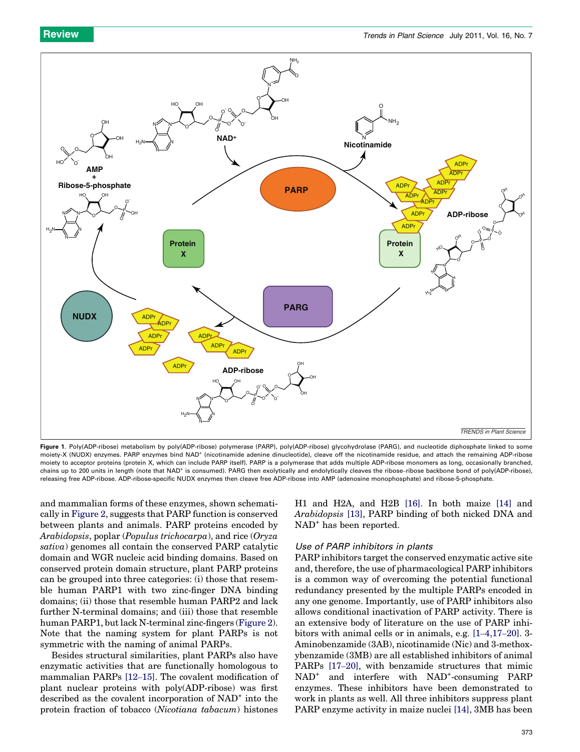<span id="page-1-0"></span>

Figure 1. Poly(ADP-ribose) metabolism by poly(ADP-ribose) polymerase (PARP), poly(ADP-ribose) glycohydrolase (PARG), and nucleotide diphosphate linked to some moiety-X (NUDX) enzymes. PARP enzymes bind NAD<sup>+</sup> (nicotinamide adenine dinucleotide), cleave off the nicotinamide residue, and attach the remaining ADP-ribose moiety to acceptor proteins (protein X, which can include PARP itself). PARP is a polymerase that adds multiple ADP-ribose monomers as long, occasionally branched, chains up to 200 units in length (note that NAD<sup>+</sup> is consumed). PARG then exolytically and endolytically cleaves the ribose–ribose backbone bond of poly(ADP-ribose), releasing free ADP-ribose. ADP-ribose-specific NUDX enzymes then cleave free ADP-ribose into AMP (adenosine monophosphate) and ribose-5-phosphate.

and mammalian forms of these enzymes, shown schematically in [Figure](#page-2-0) 2, suggests that PARP function is conserved between plants and animals. PARP proteins encoded by Arabidopsis, poplar (Populus trichocarpa), and rice (Oryza sativa) genomes all contain the conserved PARP catalytic domain and WGR nucleic acid binding domains. Based on conserved protein domain structure, plant PARP proteins can be grouped into three categories: (i) those that resemble human PARP1 with two zinc-finger DNA binding domains; (ii) those that resemble human PARP2 and lack further N-terminal domains; and (iii) those that resemble human PARP1, but lack N-terminal zinc-fingers [\(Figure](#page-2-0) 2). Note that the naming system for plant PARPs is not symmetric with the naming of animal PARPs.

Besides structural similarities, plant PARPs also have enzymatic activities that are functionally homologous to mammalian PARPs [12–[15\].](#page-7-0) The covalent modification of plant nuclear proteins with poly(ADP-ribose) was first described as the covalent incorporation of NAD<sup>+</sup> into the protein fraction of tobacco (Nicotiana tabacum) histones

H1 and H2A, and H2B [\[16\]](#page-7-0). In both maize [\[14\]](#page-7-0) and Arabidopsis [\[13\]](#page-7-0), PARP binding of both nicked DNA and NAD<sup>+</sup> has been reported.

### Use of PARP inhibitors in plants

PARP inhibitors target the conserved enzymatic active site and, therefore, the use of pharmacological PARP inhibitors is a common way of overcoming the potential functional redundancy presented by the multiple PARPs encoded in any one genome. Importantly, use of PARP inhibitors also allows conditional inactivation of PARP activity. There is an extensive body of literature on the use of PARP inhibitors with animal cells or in animals, e.g. [1–[4,17](#page-7-0)–20]. 3- Aminobenzamide (3AB), nicotinamide (Nic) and 3-methoxybenzamide (3MB) are all established inhibitors of animal PARPs [17–[20\],](#page-7-0) with benzamide structures that mimic NAD<sup>+</sup> and interfere with NAD<sup>+</sup>-consuming PARP enzymes. These inhibitors have been demonstrated to work in plants as well. All three inhibitors suppress plant PARP enzyme activity in maize nuclei [\[14\],](#page-7-0) 3MB has been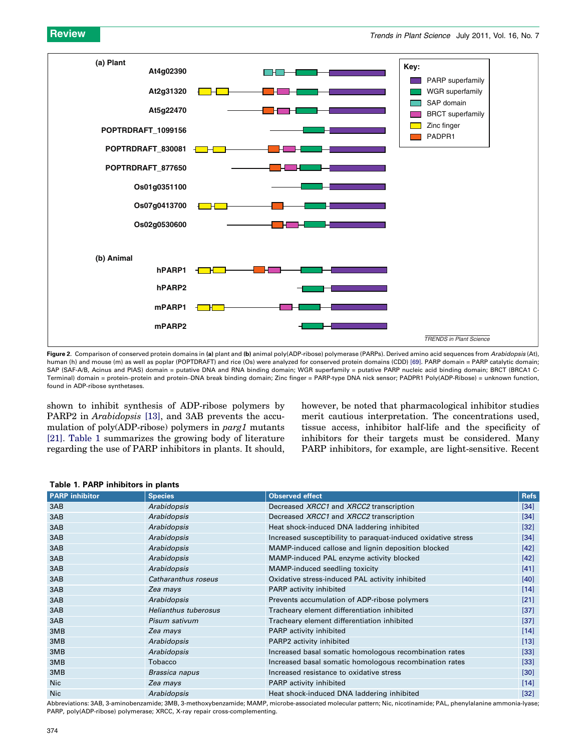<span id="page-2-0"></span>

Figure 2. Comparison of conserved protein domains in (a) plant and (b) animal poly(ADP-ribose) polymerase (PARPs). Derived amino acid sequences from Arabidopsis (At), human (h) and mouse (m) as well as poplar (POPTDRAFT) and rice (Os) were analyzed for conserved protein domains (CDD) [\[69\].](#page-8-0) PARP domain = PARP catalytic domain; SAP (SAF-A/B, Acinus and PIAS) domain = putative DNA and RNA binding domain; WGR superfamily = putative PARP nucleic acid binding domain; BRCT (BRCA1 C-Terminal) domain = protein–protein and protein–DNA break binding domain; Zinc finger = PARP-type DNA nick sensor; PADPR1 Poly(ADP-Ribose) = unknown function, found in ADP-ribose synthetases.

shown to inhibit synthesis of ADP-ribose polymers by PARP2 in Arabidopsis [\[13\],](#page-7-0) and 3AB prevents the accumulation of poly(ADP-ribose) polymers in parg1 mutants [\[21\]](#page-7-0). Table 1 summarizes the growing body of literature regarding the use of PARP inhibitors in plants. It should, however, be noted that pharmacological inhibitor studies merit cautious interpretation. The concentrations used, tissue access, inhibitor half-life and the specificity of inhibitors for their targets must be considered. Many PARP inhibitors, for example, are light-sensitive. Recent

| Table 1. PARP inhibitors in plants |                      |                                                               |                   |  |
|------------------------------------|----------------------|---------------------------------------------------------------|-------------------|--|
| <b>PARP</b> inhibitor              | <b>Species</b>       | <b>Observed effect</b>                                        | <b>Refs</b>       |  |
| 3AB                                | Arabidopsis          | Decreased XRCC1 and XRCC2 transcription                       | $\left[34\right]$ |  |
| 3AB                                | Arabidopsis          | Decreased XRCC1 and XRCC2 transcription                       | $[34]$            |  |
| 3AB                                | Arabidopsis          | Heat shock-induced DNA laddering inhibited                    | $[32]$            |  |
| 3AB                                | Arabidopsis          | Increased susceptibility to paraquat-induced oxidative stress | $[34]$            |  |
| 3AB                                | Arabidopsis          | MAMP-induced callose and lignin deposition blocked            | $[42]$            |  |
| 3AB                                | Arabidopsis          | MAMP-induced PAL enzyme activity blocked                      | $[42]$            |  |
| 3AB                                | Arabidopsis          | MAMP-induced seedling toxicity                                | $[41]$            |  |
| 3AB                                | Catharanthus roseus  | Oxidative stress-induced PAL activity inhibited               | $[40]$            |  |
| 3AB                                | Zea mays             | PARP activity inhibited                                       | $[14]$            |  |
| 3AB                                | Arabidopsis          | Prevents accumulation of ADP-ribose polymers                  | $[21]$            |  |
| 3AB                                | Helianthus tuberosus | Tracheary element differentiation inhibited                   | $[37]$            |  |
| 3AB                                | Pisum sativum        | Tracheary element differentiation inhibited                   | $[37]$            |  |
| 3MB                                | Zea mays             | PARP activity inhibited                                       | $[14]$            |  |
| 3MB                                | Arabidopsis          | PARP2 activity inhibited                                      | $[13]$            |  |
| 3MB                                | Arabidopsis          | Increased basal somatic homologous recombination rates        | $[33]$            |  |
| 3MB                                | Tobacco              | Increased basal somatic homologous recombination rates        | $[33]$            |  |
| 3MB                                | Brassica napus       | Increased resistance to oxidative stress                      | $[30]$            |  |
| <b>Nic</b>                         | Zea mays             | PARP activity inhibited                                       | $[14]$            |  |
| <b>Nic</b>                         | Arabidopsis          | Heat shock-induced DNA laddering inhibited                    | $[32]$            |  |

Table 1. PARP inhibitors in plants

Abbreviations: 3AB, 3-aminobenzamide; 3MB, 3-methoxybenzamide; MAMP, microbe-associated molecular pattern; Nic, nicotinamide; PAL, phenylalanine ammonia-lyase; PARP, poly(ADP-ribose) polymerase; XRCC, X-ray repair cross-complementing.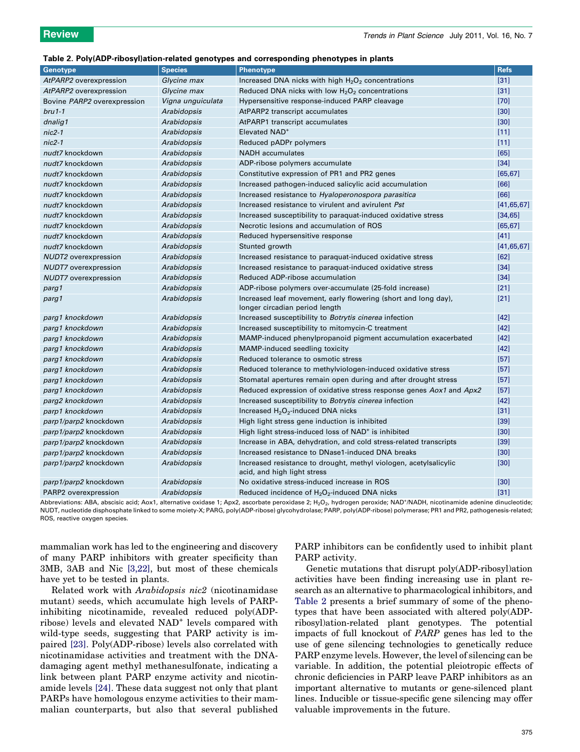#### Table 2. Poly(ADP-ribosyl)ation-related genotypes and corresponding phenotypes in plants

| <b>Genotype</b>             | <b>Species</b>     | <b>Phenotype</b>                                                                                 | <b>Refs</b>  |
|-----------------------------|--------------------|--------------------------------------------------------------------------------------------------|--------------|
| AtPARP2 overexpression      | Glycine max        | Increased DNA nicks with high H <sub>2</sub> O <sub>2</sub> concentrations                       | $[31]$       |
| AtPARP2 overexpression      | Glycine max        | Reduced DNA nicks with low $H_2O_2$ concentrations                                               | $[31]$       |
| Bovine PARP2 overexpression | Vigna unguiculata  | Hypersensitive response-induced PARP cleavage                                                    | $[70]$       |
| $bru1-1$                    | Arabidopsis        | AtPARP2 transcript accumulates                                                                   | $[30]$       |
| dnalig1                     | Arabidopsis        | AtPARP1 transcript accumulates                                                                   | $[30]$       |
| $nic2-1$                    | Arabidopsis        | Elevated NAD <sup>+</sup>                                                                        | $[11]$       |
| $nic2-1$                    | Arabidopsis        | Reduced pADPr polymers                                                                           | $[11]$       |
| nudt7 knockdown             | <b>Arabidopsis</b> | <b>NADH</b> accumulates                                                                          | [65]         |
| nudt7 knockdown             | Arabidopsis        | ADP-ribose polymers accumulate                                                                   | $[34]$       |
| nudt7 knockdown             | Arabidopsis        | Constitutive expression of PR1 and PR2 genes                                                     | [65, 67]     |
| nudt7 knockdown             | Arabidopsis        | Increased pathogen-induced salicylic acid accumulation                                           | [66]         |
| nudt7 knockdown             | Arabidopsis        | Increased resistance to Hyaloperonospora parasitica                                              | [66]         |
| nudt7 knockdown             | Arabidopsis        | Increased resistance to virulent and avirulent Pst                                               | [41, 65, 67] |
| nudt7 knockdown             | Arabidopsis        | Increased susceptibility to paraquat-induced oxidative stress                                    | [34, 65]     |
| nudt7 knockdown             | Arabidopsis        | Necrotic lesions and accumulation of ROS                                                         | [65, 67]     |
| nudt7 knockdown             | Arabidopsis        | Reduced hypersensitive response                                                                  | $[41]$       |
| nudt7 knockdown             | Arabidopsis        | Stunted growth                                                                                   | [41, 65, 67] |
| <b>NUDT2</b> overexpression | Arabidopsis        | Increased resistance to paraquat-induced oxidative stress                                        | [62]         |
| <b>NUDT7</b> overexpression | Arabidopsis        | Increased resistance to paraquat-induced oxidative stress                                        | $[34]$       |
| <b>NUDT7</b> overexpression | Arabidopsis        | Reduced ADP-ribose accumulation                                                                  | $[34]$       |
| parg1                       | Arabidopsis        | ADP-ribose polymers over-accumulate (25-fold increase)                                           | $[21]$       |
| parg1                       | Arabidopsis        | Increased leaf movement, early flowering (short and long day),<br>longer circadian period length | $[21]$       |
| parg1 knockdown             | Arabidopsis        | Increased susceptibility to <i>Botrytis cinerea</i> infection                                    | $[42]$       |
| parg1 knockdown             | Arabidopsis        | Increased susceptibility to mitomycin-C treatment                                                | $[42]$       |
| parg1 knockdown             | Arabidopsis        | MAMP-induced phenylpropanoid pigment accumulation exacerbated                                    | $[42]$       |
| parg1 knockdown             | Arabidopsis        | MAMP-induced seedling toxicity                                                                   | $[42]$       |
| parg1 knockdown             | Arabidopsis        | Reduced tolerance to osmotic stress                                                              | $[57]$       |
| parg1 knockdown             | Arabidopsis        | Reduced tolerance to methylviologen-induced oxidative stress                                     | $[57]$       |
| parg1 knockdown             | Arabidopsis        | Stomatal apertures remain open during and after drought stress                                   | $[57]$       |
| parg1 knockdown             | Arabidopsis        | Reduced expression of oxidative stress response genes Aox1 and Apx2                              | $[57]$       |
| parg2 knockdown             | Arabidopsis        | Increased susceptibility to Botrytis cinerea infection                                           | $[42]$       |
| parp1 knockdown             | Arabidopsis        | Increased $H_2O_2$ -induced DNA nicks                                                            | $[31]$       |
| parp1/parp2 knockdown       | Arabidopsis        | High light stress gene induction is inhibited                                                    | $[39]$       |
| parp1/parp2 knockdown       | Arabidopsis        | High light stress-induced loss of NAD <sup>+</sup> is inhibited                                  | $[30]$       |
| parp1/parp2 knockdown       | Arabidopsis        | Increase in ABA, dehydration, and cold stress-related transcripts                                | $[39]$       |
| parp1/parp2 knockdown       | Arabidopsis        | Increased resistance to DNase1-induced DNA breaks                                                | $[30]$       |
| parp1/parp2 knockdown       | Arabidopsis        | Increased resistance to drought, methyl viologen, acetylsalicylic<br>acid, and high light stress | $[30]$       |
| parp1/parp2 knockdown       | Arabidopsis        | No oxidative stress-induced increase in ROS                                                      | $[30]$       |
| PARP2 overexpression        | <b>Arabidopsis</b> | Reduced incidence of $H_2O_2$ -induced DNA nicks                                                 | $[31]$       |

Abbreviations: ABA, abscisic acid; Aox1, alternative oxidase 1; Apx2, ascorbate peroxidase 2; H<sub>2</sub>O<sub>2</sub>, hydrogen peroxide; NAD<sup>+</sup>/NADH, nicotinamide adenine dinucleotide; NUDT, nucleotide disphosphate linked to some moiety-X; PARG, poly(ADP-ribose) glycohydrolase; PARP, poly(ADP-ribose) polymerase; PR1 and PR2, pathogenesis-related; ROS, reactive oxygen species.

mammalian work has led to the engineering and discovery of many PARP inhibitors with greater specificity than 3MB, 3AB and Nic [\[3,22\],](#page-7-0) but most of these chemicals have yet to be tested in plants.

Related work with Arabidopsis nic2 (nicotinamidase mutant) seeds, which accumulate high levels of PARPinhibiting nicotinamide, revealed reduced poly(ADPribose) levels and elevated NAD<sup>+</sup> levels compared with wild-type seeds, suggesting that PARP activity is impaired [\[23\]](#page-7-0). Poly(ADP-ribose) levels also correlated with nicotinamidase activities and treatment with the DNAdamaging agent methyl methanesulfonate, indicating a link between plant PARP enzyme activity and nicotinamide levels [\[24\]](#page-8-0). These data suggest not only that plant PARPs have homologous enzyme activities to their mammalian counterparts, but also that several published PARP inhibitors can be confidently used to inhibit plant PARP activity.

Genetic mutations that disrupt poly(ADP-ribosyl)ation activities have been finding increasing use in plant research as an alternative to pharmacological inhibitors, and Table 2 presents a brief summary of some of the phenotypes that have been associated with altered poly(ADPribosyl)ation-related plant genotypes. The potential impacts of full knockout of PARP genes has led to the use of gene silencing technologies to genetically reduce PARP enzyme levels. However, the level of silencing can be variable. In addition, the potential pleiotropic effects of chronic deficiencies in PARP leave PARP inhibitors as an important alternative to mutants or gene-silenced plant lines. Inducible or tissue-specific gene silencing may offer valuable improvements in the future.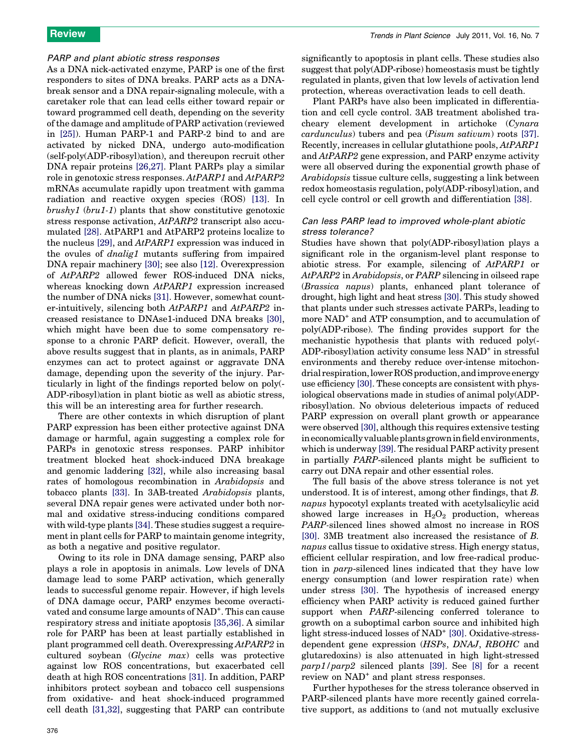#### PARP and plant abiotic stress responses

As a DNA nick-activated enzyme, PARP is one of the first responders to sites of DNA breaks. PARP acts as a DNAbreak sensor and a DNA repair-signaling molecule, with a caretaker role that can lead cells either toward repair or toward programmed cell death, depending on the severity of the damage and amplitude of PARP activation (reviewed in [\[25\]\)](#page-8-0). Human PARP-1 and PARP-2 bind to and are activated by nicked DNA, undergo auto-modification (self-poly(ADP-ribosyl)ation), and thereupon recruit other DNA repair proteins [\[26,27\].](#page-8-0) Plant PARPs play a similar role in genotoxic stress responses. AtPARP1 and AtPARP2 mRNAs accumulate rapidly upon treatment with gamma radiation and reactive oxygen species (ROS) [\[13\]](#page-7-0). In  $brushyl$  ( $bru1-1$ ) plants that show constitutive genotoxic stress response activation, AtPARP2 transcript also accumulated [\[28\].](#page-8-0) AtPARP1 and AtPARP2 proteins localize to the nucleus [\[29\],](#page-8-0) and AtPARP1 expression was induced in the ovules of dnalig1 mutants suffering from impaired DNA repair machinery [\[30\]](#page-8-0); see also [\[12\].](#page-7-0) Overexpression of AtPARP2 allowed fewer ROS-induced DNA nicks, whereas knocking down  $AtPARP1$  expression increased the number of DNA nicks [\[31\].](#page-8-0) However, somewhat counter-intuitively, silencing both AtPARP1 and AtPARP2 increased resistance to DNAse1-induced DNA breaks [\[30\]](#page-8-0), which might have been due to some compensatory response to a chronic PARP deficit. However, overall, the above results suggest that in plants, as in animals, PARP enzymes can act to protect against or aggravate DNA damage, depending upon the severity of the injury. Particularly in light of the findings reported below on poly(- ADP-ribosyl)ation in plant biotic as well as abiotic stress, this will be an interesting area for further research.

There are other contexts in which disruption of plant PARP expression has been either protective against DNA damage or harmful, again suggesting a complex role for PARPs in genotoxic stress responses. PARP inhibitor treatment blocked heat shock-induced DNA breakage and genomic laddering [\[32\]](#page-8-0), while also increasing basal rates of homologous recombination in Arabidopsis and tobacco plants [\[33\].](#page-8-0) In 3AB-treated Arabidopsis plants, several DNA repair genes were activated under both normal and oxidative stress-inducing conditions compared with wild-type plants [\[34\]](#page-8-0). These studies suggest a requirement in plant cells for PARP to maintain genome integrity, as both a negative and positive regulator.

Owing to its role in DNA damage sensing, PARP also plays a role in apoptosis in animals. Low levels of DNA damage lead to some PARP activation, which generally leads to successful genome repair. However, if high levels of DNA damage occur, PARP enzymes become overactivated and consume large amounts of NAD<sup>+</sup>. This can cause respiratory stress and initiate apoptosis [\[35,36\]](#page-8-0). A similar role for PARP has been at least partially established in plant programmed cell death. Overexpressing AtPARP2 in cultured soybean (Glycine max) cells was protective against low ROS concentrations, but exacerbated cell death at high ROS concentrations [\[31\].](#page-8-0) In addition, PARP inhibitors protect soybean and tobacco cell suspensions from oxidative- and heat shock-induced programmed cell death [\[31,32\],](#page-8-0) suggesting that PARP can contribute significantly to apoptosis in plant cells. These studies also suggest that poly(ADP-ribose) homeostasis must be tightly regulated in plants, given that low levels of activation lend protection, whereas overactivation leads to cell death.

Plant PARPs have also been implicated in differentiation and cell cycle control. 3AB treatment abolished tracheary element development in artichoke (Cynara cardunculus) tubers and pea (Pisum sativum) roots [\[37\]](#page-8-0). Recently, increases in cellular glutathione pools, AtPARP1 and AtPARP2 gene expression, and PARP enzyme activity were all observed during the exponential growth phase of Arabidopsis tissue culture cells, suggesting a link between redox homeostasis regulation, poly(ADP-ribosyl)ation, and cell cycle control or cell growth and differentiation [\[38\]](#page-8-0).

### Can less PARP lead to improved whole-plant abiotic stress tolerance?

Studies have shown that poly(ADP-ribosyl)ation plays a significant role in the organism-level plant response to abiotic stress. For example, silencing of AtPARP1 or AtPARP2 in Arabidopsis, or PARP silencing in oilseed rape (Brassica napus) plants, enhanced plant tolerance of drought, high light and heat stress [\[30\]](#page-8-0). This study showed that plants under such stresses activate PARPs, leading to more NAD<sup>+</sup> and ATP consumption, and to accumulation of poly(ADP-ribose). The finding provides support for the mechanistic hypothesis that plants with reduced poly(- ADP-ribosyl)ation activity consume less NAD<sup>+</sup> in stressful environments and thereby reduce over-intense mitochondrial respiration, lower ROS production, and improve energy use efficiency [\[30\]](#page-8-0). These concepts are consistent with physiological observations made in studies of animal poly(ADPribosyl)ation. No obvious deleterious impacts of reduced PARP expression on overall plant growth or appearance were observed [\[30\]](#page-8-0), although this requires extensive testing in economically valuable plants grown infield environments, which is underway [\[39\].](#page-8-0) The residual PARP activity present in partially PARP-silenced plants might be sufficient to carry out DNA repair and other essential roles.

The full basis of the above stress tolerance is not yet understood. It is of interest, among other findings, that B. napus hypocotyl explants treated with acetylsalicylic acid showed large increases in  $H_2O_2$  production, whereas PARP-silenced lines showed almost no increase in ROS [\[30\]](#page-8-0). 3MB treatment also increased the resistance of B. napus callus tissue to oxidative stress. High energy status, efficient cellular respiration, and low free-radical production in parp-silenced lines indicated that they have low energy consumption (and lower respiration rate) when under stress [\[30\]](#page-8-0). The hypothesis of increased energy efficiency when PARP activity is reduced gained further support when PARP-silencing conferred tolerance to growth on a suboptimal carbon source and inhibited high light stress-induced losses of NAD<sup>+</sup> [\[30\].](#page-8-0) Oxidative-stressdependent gene expression (HSPs, DNAJ, RBOHC and glutaredoxins) is also attenuated in high light-stressed parp1/parp2 silenced plants [\[39\]](#page-8-0). See [\[8\]](#page-7-0) for a recent review on NAD<sup>+</sup> and plant stress responses.

Further hypotheses for the stress tolerance observed in PARP-silenced plants have more recently gained correlative support, as additions to (and not mutually exclusive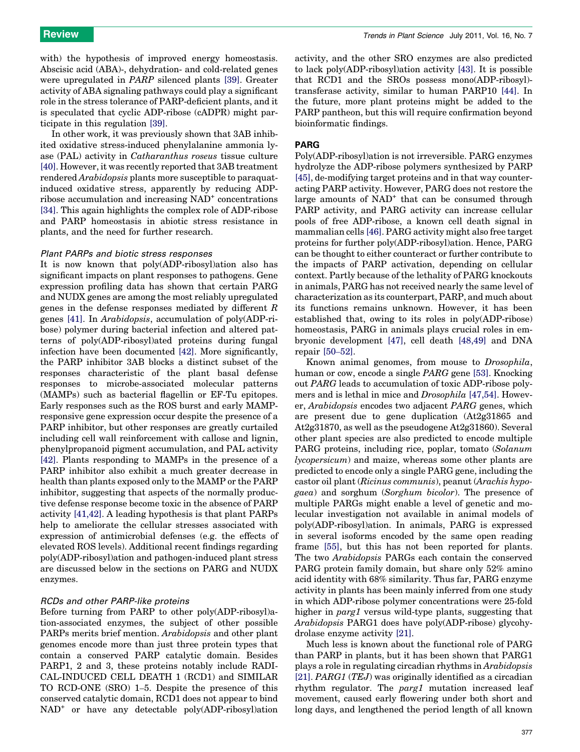with) the hypothesis of improved energy homeostasis. Abscisic acid (ABA)-, dehydration- and cold-related genes were upregulated in PARP silenced plants [\[39\]](#page-8-0). Greater activity of ABA signaling pathways could play a significant role in the stress tolerance of PARP-deficient plants, and it is speculated that cyclic ADP-ribose (cADPR) might participate in this regulation [\[39\].](#page-8-0)

In other work, it was previously shown that 3AB inhibited oxidative stress-induced phenylalanine ammonia lyase (PAL) activity in Catharanthus roseus tissue culture [\[40\]](#page-8-0). However, it was recently reported that 3AB treatment rendered Arabidopsis plants more susceptible to paraquatinduced oxidative stress, apparently by reducing ADPribose accumulation and increasing NAD<sup>+</sup> concentrations [\[34\]](#page-8-0). This again highlights the complex role of ADP-ribose and PARP homeostasis in abiotic stress resistance in plants, and the need for further research.

#### Plant PARPs and biotic stress responses

It is now known that poly(ADP-ribosyl)ation also has significant impacts on plant responses to pathogens. Gene expression profiling data has shown that certain PARG and NUDX genes are among the most reliably upregulated genes in the defense responses mediated by different R genes [\[41\]](#page-8-0). In Arabidopsis, accumulation of poly(ADP-ribose) polymer during bacterial infection and altered patterns of poly(ADP-ribosyl)ated proteins during fungal infection have been documented [\[42\]](#page-8-0). More significantly, the PARP inhibitor 3AB blocks a distinct subset of the responses characteristic of the plant basal defense responses to microbe-associated molecular patterns (MAMPs) such as bacterial flagellin or EF-Tu epitopes. Early responses such as the ROS burst and early MAMPresponsive gene expression occur despite the presence of a PARP inhibitor, but other responses are greatly curtailed including cell wall reinforcement with callose and lignin, phenylpropanoid pigment accumulation, and PAL activity [\[42\]](#page-8-0). Plants responding to MAMPs in the presence of a PARP inhibitor also exhibit a much greater decrease in health than plants exposed only to the MAMP or the PARP inhibitor, suggesting that aspects of the normally productive defense response become toxic in the absence of PARP activity [\[41,42\]](#page-8-0). A leading hypothesis is that plant PARPs help to ameliorate the cellular stresses associated with expression of antimicrobial defenses (e.g. the effects of elevated ROS levels). Additional recent findings regarding poly(ADP-ribosyl)ation and pathogen-induced plant stress are discussed below in the sections on PARG and NUDX enzymes.

#### RCDs and other PARP-like proteins

Before turning from PARP to other poly(ADP-ribosyl)ation-associated enzymes, the subject of other possible PARPs merits brief mention. Arabidopsis and other plant genomes encode more than just three protein types that contain a conserved PARP catalytic domain. Besides PARP1, 2 and 3, these proteins notably include RADI-CAL-INDUCED CELL DEATH 1 (RCD1) and SIMILAR TO RCD-ONE (SRO) 1–5. Despite the presence of this conserved catalytic domain, RCD1 does not appear to bind NAD<sup>+</sup> or have any detectable poly(ADP-ribosyl)ation

activity, and the other SRO enzymes are also predicted to lack poly(ADP-ribosyl)ation activity [\[43\]](#page-8-0). It is possible that RCD1 and the SROs possess mono(ADP-ribosyl) transferase activity, similar to human PARP10 [\[44\]](#page-8-0). In the future, more plant proteins might be added to the PARP pantheon, but this will require confirmation beyond bioinformatic findings.

#### PARG

Poly(ADP-ribosyl)ation is not irreversible. PARG enzymes hydrolyze the ADP-ribose polymers synthesized by PARP [\[45\]](#page-8-0), de-modifying target proteins and in that way counteracting PARP activity. However, PARG does not restore the large amounts of NAD<sup>+</sup> that can be consumed through PARP activity, and PARG activity can increase cellular pools of free ADP-ribose, a known cell death signal in mammalian cells [\[46\]](#page-8-0). PARG activity might also free target proteins for further poly(ADP-ribosyl)ation. Hence, PARG can be thought to either counteract or further contribute to the impacts of PARP activation, depending on cellular context. Partly because of the lethality of PARG knockouts in animals, PARG has not received nearly the same level of characterization as its counterpart, PARP, and much about its functions remains unknown. However, it has been established that, owing to its roles in poly(ADP-ribose) homeostasis, PARG in animals plays crucial roles in embryonic development [\[47\]](#page-8-0), cell death [\[48,49\]](#page-8-0) and DNA repair [50–[52\].](#page-8-0)

Known animal genomes, from mouse to Drosophila, human or cow, encode a single PARG gene [\[53\]](#page-8-0). Knocking out PARG leads to accumulation of toxic ADP-ribose polymers and is lethal in mice and Drosophila [\[47,54\].](#page-8-0) However, Arabidopsis encodes two adjacent PARG genes, which are present due to gene duplication (At2g31865 and At2g31870, as well as the pseudogene At2g31860). Several other plant species are also predicted to encode multiple PARG proteins, including rice, poplar, tomato (Solanum lycopersicum) and maize, whereas some other plants are predicted to encode only a single PARG gene, including the castor oil plant (Ricinus communis), peanut (Arachis hypogaea) and sorghum (Sorghum bicolor). The presence of multiple PARGs might enable a level of genetic and molecular investigation not available in animal models of poly(ADP-ribosyl)ation. In animals, PARG is expressed in several isoforms encoded by the same open reading frame [\[55\],](#page-8-0) but this has not been reported for plants. The two Arabidopsis PARGs each contain the conserved PARG protein family domain, but share only 52% amino acid identity with 68% similarity. Thus far, PARG enzyme activity in plants has been mainly inferred from one study in which ADP-ribose polymer concentrations were 25-fold higher in parg1 versus wild-type plants, suggesting that Arabidopsis PARG1 does have poly(ADP-ribose) glycohydrolase enzyme activity [\[21\].](#page-7-0)

Much less is known about the functional role of PARG than PARP in plants, but it has been shown that PARG1 plays a role in regulating circadian rhythms in Arabidopsis [\[21\]](#page-7-0). PARG1 (TEJ) was originally identified as a circadian rhythm regulator. The parg1 mutation increased leaf movement, caused early flowering under both short and long days, and lengthened the period length of all known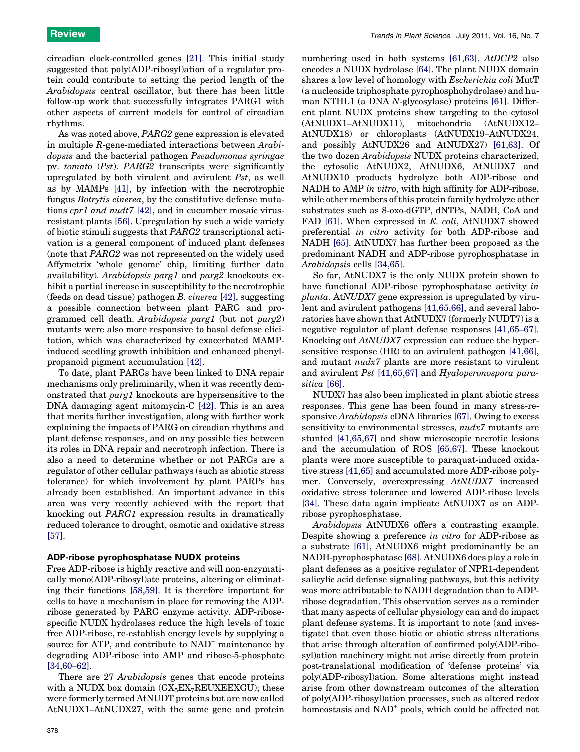circadian clock-controlled genes [\[21\]](#page-7-0). This initial study suggested that poly(ADP-ribosyl)ation of a regulator protein could contribute to setting the period length of the Arabidopsis central oscillator, but there has been little follow-up work that successfully integrates PARG1 with other aspects of current models for control of circadian rhythms.

As was noted above, PARG2 gene expression is elevated in multiple R-gene-mediated interactions between Arabidopsis and the bacterial pathogen Pseudomonas syringae pv. tomato (Pst). PARG2 transcripts were significantly upregulated by both virulent and avirulent Pst, as well as by MAMPs [\[41\],](#page-8-0) by infection with the necrotrophic fungus Botrytis cinerea, by the constitutive defense mutations cpr1 and nudt7 [\[42\],](#page-8-0) and in cucumber mosaic virusresistant plants [\[56\].](#page-8-0) Upregulation by such a wide variety of biotic stimuli suggests that PARG2 transcriptional activation is a general component of induced plant defenses (note that PARG2 was not represented on the widely used Affymetrix 'whole genome' chip, limiting further data availability). Arabidopsis parg1 and parg2 knockouts exhibit a partial increase in susceptibility to the necrotrophic (feeds on dead tissue) pathogen B. cinerea [\[42\]](#page-8-0), suggesting a possible connection between plant PARG and programmed cell death. Arabidopsis parg1 (but not parg2) mutants were also more responsive to basal defense elicitation, which was characterized by exacerbated MAMPinduced seedling growth inhibition and enhanced phenylpropanoid pigment accumulation [\[42\].](#page-8-0)

To date, plant PARGs have been linked to DNA repair mechanisms only preliminarily, when it was recently demonstrated that parg1 knockouts are hypersensitive to the DNA damaging agent mitomycin-C [\[42\]](#page-8-0). This is an area that merits further investigation, along with further work explaining the impacts of PARG on circadian rhythms and plant defense responses, and on any possible ties between its roles in DNA repair and necrotroph infection. There is also a need to determine whether or not PARGs are a regulator of other cellular pathways (such as abiotic stress tolerance) for which involvement by plant PARPs has already been established. An important advance in this area was very recently achieved with the report that knocking out PARG1 expression results in dramatically reduced tolerance to drought, osmotic and oxidative stress [\[57\]](#page-8-0).

#### ADP-ribose pyrophosphatase NUDX proteins

Free ADP-ribose is highly reactive and will non-enzymatically mono(ADP-ribosyl)ate proteins, altering or eliminating their functions [\[58,59\].](#page-8-0) It is therefore important for cells to have a mechanism in place for removing the ADPribose generated by PARG enzyme activity. ADP-ribosespecific NUDX hydrolases reduce the high levels of toxic free ADP-ribose, re-establish energy levels by supplying a source for ATP, and contribute to  $NAD<sup>+</sup>$  maintenance by degrading ADP-ribose into AMP and ribose-5-phosphate [\[34,60](#page-8-0)–62].

There are 27 Arabidopsis genes that encode proteins with a NUDX box domain  $(GX_5EX_7REUXEEXGU)$ ; these were formerly termed AtNUDT proteins but are now called AtNUDX1–AtNUDX27, with the same gene and protein

numbering used in both systems [\[61,63\]](#page-8-0). AtDCP2 also encodes a NUDX hydrolase [\[64\].](#page-8-0) The plant NUDX domain shares a low level of homology with *Escherichia coli* MutT (a nucleoside triphosphate pyrophosphohydrolase) and human NTHL1 (a DNA N-glycosylase) proteins [\[61\].](#page-8-0) Different plant NUDX proteins show targeting to the cytosol (AtNUDX1–AtNUDX11), mitochondria (AtNUDX12– AtNUDX18) or chloroplasts (AtNUDX19–AtNUDX24, and possibly AtNUDX26 and AtNUDX27) [\[61,63\]](#page-8-0). Of the two dozen Arabidopsis NUDX proteins characterized, the cytosolic AtNUDX2, AtNUDX6, AtNUDX7 and AtNUDX10 products hydrolyze both ADP-ribose and NADH to AMP in vitro, with high affinity for ADP-ribose, while other members of this protein family hydrolyze other substrates such as 8-oxo-dGTP, dNTPs, NADH, CoA and FAD [\[61\]](#page-8-0). When expressed in E. coli, AtNUDX7 showed preferential in vitro activity for both ADP-ribose and NADH [\[65\]](#page-8-0). AtNUDX7 has further been proposed as the predominant NADH and ADP-ribose pyrophosphatase in Arabidopsis cells [\[34,65\]](#page-8-0).

So far, AtNUDX7 is the only NUDX protein shown to have functional ADP-ribose pyrophosphatase activity in planta. AtNUDX7 gene expression is upregulated by virulent and avirulent pathogens [\[41,65,66\]](#page-8-0), and several laboratories have shown that AtNUDX7 (formerly NUDT7) is a negative regulator of plant defense responses [\[41,65](#page-8-0)–67]. Knocking out AtNUDX7 expression can reduce the hypersensitive response (HR) to an avirulent pathogen [\[41,66\]](#page-8-0), and mutant nudx7 plants are more resistant to virulent and avirulent Pst [\[41,65,67\]](#page-8-0) and Hyaloperonospora parasitica [\[66\]](#page-8-0).

NUDX7 has also been implicated in plant abiotic stress responses. This gene has been found in many stress-responsive Arabidopsis cDNA libraries [\[67\]](#page-8-0). Owing to excess sensitivity to environmental stresses,  $nudx7$  mutants are stunted [\[41,65,67\]](#page-8-0) and show microscopic necrotic lesions and the accumulation of ROS [\[65,67\]](#page-8-0). These knockout plants were more susceptible to paraquat-induced oxidative stress [\[41,65\]](#page-8-0) and accumulated more ADP-ribose polymer. Conversely, overexpressing AtNUDX7 increased oxidative stress tolerance and lowered ADP-ribose levels [\[34\]](#page-8-0). These data again implicate AtNUDX7 as an ADPribose pyrophosphatase.

Arabidopsis AtNUDX6 offers a contrasting example. Despite showing a preference in vitro for ADP-ribose as a substrate [\[61\],](#page-8-0) AtNUDX6 might predominantly be an NADH-pyrophosphatase [\[68\]](#page-8-0). AtNUDX6 does play a role in plant defenses as a positive regulator of NPR1-dependent salicylic acid defense signaling pathways, but this activity was more attributable to NADH degradation than to ADPribose degradation. This observation serves as a reminder that many aspects of cellular physiology can and do impact plant defense systems. It is important to note (and investigate) that even those biotic or abiotic stress alterations that arise through alteration of confirmed poly(ADP-ribosyl)ation machinery might not arise directly from protein post-translational modification of 'defense proteins' via poly(ADP-ribosyl)ation. Some alterations might instead arise from other downstream outcomes of the alteration of poly(ADP-ribosyl)ation processes, such as altered redox homeostasis and NAD<sup>+</sup> pools, which could be affected not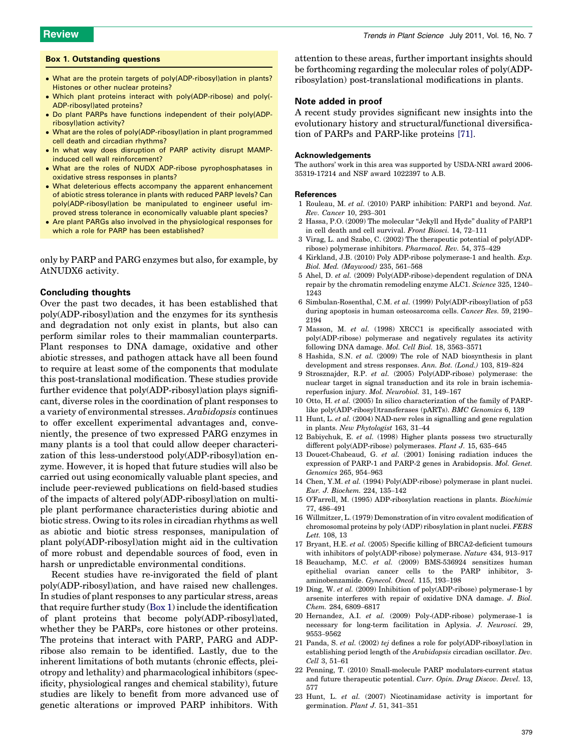#### <span id="page-7-0"></span>Box 1. Outstanding questions

- What are the protein targets of poly(ADP-ribosyl)ation in plants? Histones or other nuclear proteins?
- Which plant proteins interact with poly(ADP-ribose) and poly(- ADP-ribosyl)ated proteins?
- Do plant PARPs have functions independent of their poly(ADPribosyl)ation activity?
- $\bullet\,$  What are the roles of poly(ADP-ribosyl)ation in plant programmed cell death and circadian rhythms?
- In what way does disruption of PARP activity disrupt MAMPinduced cell wall reinforcement?
- What are the roles of NUDX ADP-ribose pyrophosphatases in oxidative stress responses in plants?
- What deleterious effects accompany the apparent enhancement of abiotic stress tolerance in plants with reduced PARP levels? Can poly(ADP-ribosyl)ation be manipulated to engineer useful improved stress tolerance in economically valuable plant species?
- Are plant PARGs also involved in the physiological responses for which a role for PARP has been established?

only by PARP and PARG enzymes but also, for example, by AtNUDX6 activity.

#### Concluding thoughts

Over the past two decades, it has been established that poly(ADP-ribosyl)ation and the enzymes for its synthesis and degradation not only exist in plants, but also can perform similar roles to their mammalian counterparts. Plant responses to DNA damage, oxidative and other abiotic stresses, and pathogen attack have all been found to require at least some of the components that modulate this post-translational modification. These studies provide further evidence that poly(ADP-ribosyl)ation plays significant, diverse roles in the coordination of plant responses to a variety of environmental stresses. Arabidopsis continues to offer excellent experimental advantages and, conveniently, the presence of two expressed PARG enzymes in many plants is a tool that could allow deeper characterization of this less-understood poly(ADP-ribosyl)ation enzyme. However, it is hoped that future studies will also be carried out using economically valuable plant species, and include peer-reviewed publications on field-based studies of the impacts of altered poly(ADP-ribosyl)ation on multiple plant performance characteristics during abiotic and biotic stress. Owing to its roles in circadian rhythms as well as abiotic and biotic stress responses, manipulation of plant poly(ADP-ribosyl)ation might aid in the cultivation of more robust and dependable sources of food, even in harsh or unpredictable environmental conditions.

Recent studies have re-invigorated the field of plant poly(ADP-ribosyl)ation, and have raised new challenges. In studies of plant responses to any particular stress, areas that require further study (Box 1) include the identification of plant proteins that become poly(ADP-ribosyl)ated, whether they be PARPs, core histones or other proteins. The proteins that interact with PARP, PARG and ADPribose also remain to be identified. Lastly, due to the inherent limitations of both mutants (chronic effects, pleiotropy and lethality) and pharmacological inhibitors (specificity, physiological ranges and chemical stability), future studies are likely to benefit from more advanced use of genetic alterations or improved PARP inhibitors. With

attention to these areas, further important insights should be forthcoming regarding the molecular roles of poly(ADPribosylation) post-translational modifications in plants.

#### Note added in proof

A recent study provides significant new insights into the evolutionary history and structural/functional diversification of PARPs and PARP-like proteins [\[71\].](#page-8-0)

#### Acknowledgements

The authors' work in this area was supported by USDA-NRI award 2006- 35319-17214 and NSF award 1022397 to A.B.

#### References

- 1 Rouleau, M. et al. (2010) PARP inhibition: PARP1 and beyond. Nat. Rev. Cancer 10, 293–301
- 2 Hassa, P.O. (2009) The molecular ''Jekyll and Hyde'' duality of PARP1 in cell death and cell survival. Front Biosci. 14, 72–111
- 3 Virag, L. and Szabo, C. (2002) The therapeutic potential of poly(ADPribose) polymerase inhibitors. Pharmacol. Rev. 54, 375–429
- 4 Kirkland, J.B. (2010) Poly ADP-ribose polymerase-1 and health. Exp. Biol. Med. (Maywood) 235, 561–568
- 5 Ahel, D. et al. (2009) Poly(ADP-ribose)-dependent regulation of DNA repair by the chromatin remodeling enzyme ALC1. Science 325, 1240– 1243
- 6 Simbulan-Rosenthal, C.M. et al. (1999) Poly(ADP-ribosyl)ation of p53 during apoptosis in human osteosarcoma cells. Cancer Res. 59, 2190– 2194
- 7 Masson, M. et al. (1998) XRCC1 is specifically associated with poly(ADP-ribose) polymerase and negatively regulates its activity following DNA damage. Mol. Cell Biol. 18, 3563–3571
- 8 Hashida, S.N. et al. (2009) The role of NAD biosynthesis in plant development and stress responses. Ann. Bot. (Lond.) 103, 819–824
- 9 Strosznajder, R.P. et al. (2005) Poly(ADP-ribose) polymerase: the nuclear target in signal transduction and its role in brain ischemiareperfusion injury. Mol. Neurobiol. 31, 149–167
- 10 Otto, H. et al. (2005) In silico characterization of the family of PARPlike poly(ADP-ribosyl)transferases (pARTs). BMC Genomics 6, 139
- 11 Hunt, L. et al. (2004) NAD-new roles in signalling and gene regulation in plants. New Phytologist 163, 31–44
- 12 Babiychuk, E. et al. (1998) Higher plants possess two structurally different poly(ADP-ribose) polymerases. Plant J. 15, 635–645
- 13 Doucet-Chabeaud, G. et al. (2001) Ionising radiation induces the expression of PARP-1 and PARP-2 genes in Arabidopsis. Mol. Genet. Genomics 265, 954–963
- 14 Chen, Y.M. et al. (1994) Poly(ADP-ribose) polymerase in plant nuclei. Eur. J. Biochem. 224, 135–142
- 15 O'Farrell, M. (1995) ADP-ribosylation reactions in plants. Biochimie 77, 486–491
- 16 Willmitzer, L. (1979) Demonstration of in vitro covalent modification of chromosomal proteins by poly (ADP) ribosylation in plant nuclei. FEBS Lett. 108, 13
- 17 Bryant, H.E. et al. (2005) Specific killing of BRCA2-deficient tumours with inhibitors of poly(ADP-ribose) polymerase. Nature 434, 913–917
- 18 Beauchamp, M.C. et al. (2009) BMS-536924 sensitizes human epithelial ovarian cancer cells to the PARP inhibitor, 3 aminobenzamide. Gynecol. Oncol. 115, 193–198
- 19 Ding, W. et al. (2009) Inhibition of poly(ADP-ribose) polymerase-1 by arsenite interferes with repair of oxidative DNA damage. J. Biol. Chem. 284, 6809–6817
- 20 Hernandez, A.I. et al. (2009) Poly-(ADP-ribose) polymerase-1 is necessary for long-term facilitation in Aplysia. J. Neurosci. 29, 9553–9562
- 21 Panda, S. et al. (2002) tej defines a role for poly(ADP-ribosyl)ation in establishing period length of the Arabidopsis circadian oscillator. Dev. Cell 3, 51–61
- 22 Penning, T. (2010) Small-molecule PARP modulators-current status and future therapeutic potential. Curr. Opin. Drug Discov. Devel. 13, 577
- 23 Hunt, L. et al. (2007) Nicotinamidase activity is important for germination. Plant J. 51, 341–351